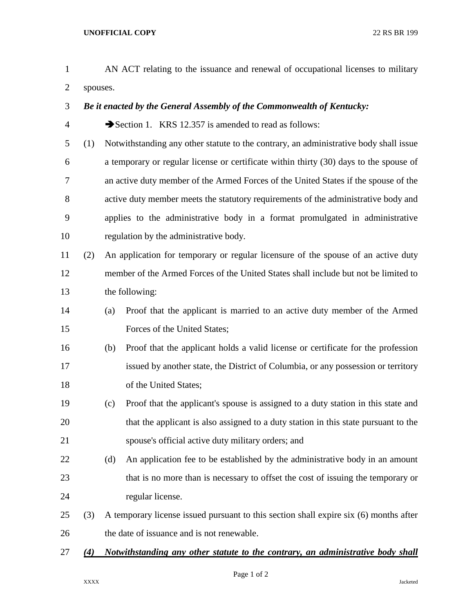| $\mathbf{1}$   |          |                                                                                       | AN ACT relating to the issuance and renewal of occupational licenses to military       |  |
|----------------|----------|---------------------------------------------------------------------------------------|----------------------------------------------------------------------------------------|--|
| $\overline{2}$ | spouses. |                                                                                       |                                                                                        |  |
| 3              |          | Be it enacted by the General Assembly of the Commonwealth of Kentucky:                |                                                                                        |  |
| $\overline{4}$ |          |                                                                                       | Section 1. KRS 12.357 is amended to read as follows:                                   |  |
| 5              | (1)      |                                                                                       | Notwithstanding any other statute to the contrary, an administrative body shall issue  |  |
| 6              |          |                                                                                       | a temporary or regular license or certificate within thirty (30) days to the spouse of |  |
| 7              |          |                                                                                       | an active duty member of the Armed Forces of the United States if the spouse of the    |  |
| 8              |          |                                                                                       | active duty member meets the statutory requirements of the administrative body and     |  |
| 9              |          |                                                                                       | applies to the administrative body in a format promulgated in administrative           |  |
| 10             |          |                                                                                       | regulation by the administrative body.                                                 |  |
| 11             | (2)      |                                                                                       | An application for temporary or regular licensure of the spouse of an active duty      |  |
| 12             |          |                                                                                       | member of the Armed Forces of the United States shall include but not be limited to    |  |
| 13             |          | the following:                                                                        |                                                                                        |  |
| 14             |          | (a)                                                                                   | Proof that the applicant is married to an active duty member of the Armed              |  |
| 15             |          |                                                                                       | Forces of the United States;                                                           |  |
| 16             |          | (b)                                                                                   | Proof that the applicant holds a valid license or certificate for the profession       |  |
| 17             |          |                                                                                       | issued by another state, the District of Columbia, or any possession or territory      |  |
| 18             |          |                                                                                       | of the United States;                                                                  |  |
| 19             |          | (c)                                                                                   | Proof that the applicant's spouse is assigned to a duty station in this state and      |  |
| 20             |          |                                                                                       | that the applicant is also assigned to a duty station in this state pursuant to the    |  |
| 21             |          |                                                                                       | spouse's official active duty military orders; and                                     |  |
| 22             |          | (d)                                                                                   | An application fee to be established by the administrative body in an amount           |  |
| 23             |          |                                                                                       | that is no more than is necessary to offset the cost of issuing the temporary or       |  |
| 24             |          |                                                                                       | regular license.                                                                       |  |
| 25             | (3)      | A temporary license issued pursuant to this section shall expire six (6) months after |                                                                                        |  |
| 26             |          | the date of issuance and is not renewable.                                            |                                                                                        |  |
| 27             | (4)      | Notwithstanding any other statute to the contrary, an administrative body shall       |                                                                                        |  |